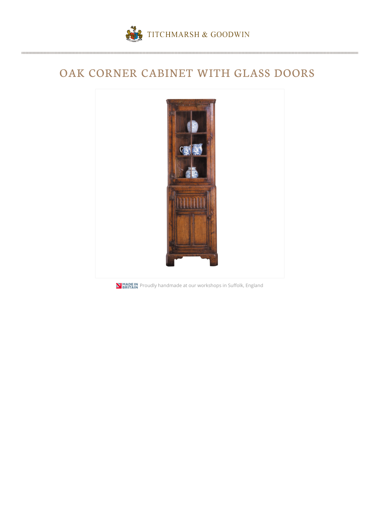

## OAK CORNER CABINET WITH GLASS DOORS



**NIMADE IN**<br>**PRITAIN** Proudly handmade at our workshops in Suffolk, England